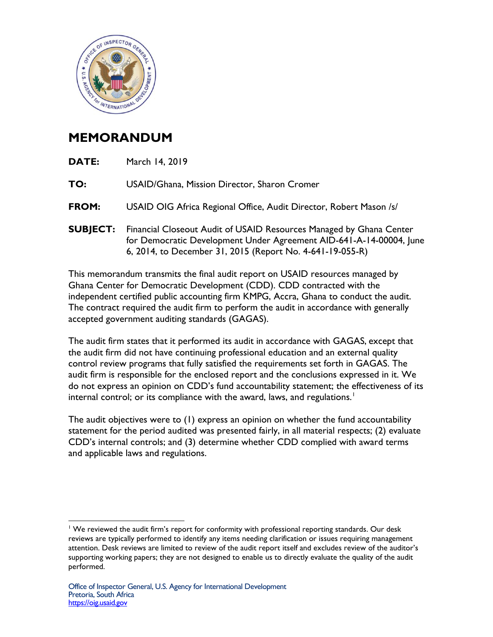

## **MEMORANDUM**

| <b>DATE:</b>    | March 14, 2019                                                                                                                                                                                          |
|-----------------|---------------------------------------------------------------------------------------------------------------------------------------------------------------------------------------------------------|
| TO:             | USAID/Ghana, Mission Director, Sharon Cromer                                                                                                                                                            |
| <b>FROM:</b>    | USAID OIG Africa Regional Office, Audit Director, Robert Mason /s/                                                                                                                                      |
| <b>SUBJECT:</b> | Financial Closeout Audit of USAID Resources Managed by Ghana Center<br>for Democratic Development Under Agreement AID-641-A-14-00004, June<br>6, 2014, to December 31, 2015 (Report No. 4-641-19-055-R) |
|                 |                                                                                                                                                                                                         |

This memorandum transmits the final audit report on USAID resources managed by Ghana Center for Democratic Development (CDD). CDD contracted with the independent certified public accounting firm KMPG, Accra, Ghana to conduct the audit. The contract required the audit firm to perform the audit in accordance with generally accepted government auditing standards (GAGAS).

The audit firm states that it performed its audit in accordance with GAGAS, except that the audit firm did not have continuing professional education and an external quality control review programs that fully satisfied the requirements set forth in GAGAS. The audit firm is responsible for the enclosed report and the conclusions expressed in it. We do not express an opinion on CDD's fund accountability statement; the effectiveness of its internal control; or its compliance with the award, laws, and regulations.<sup>[1](#page-0-0)</sup>

The audit objectives were to (1) express an opinion on whether the fund accountability statement for the period audited was presented fairly, in all material respects; (2) evaluate CDD's internal controls; and (3) determine whether CDD complied with award terms and applicable laws and regulations.

<span id="page-0-0"></span> $\overline{a}$ <sup>1</sup> We reviewed the audit firm's report for conformity with professional reporting standards. Our desk reviews are typically performed to identify any items needing clarification or issues requiring management attention. Desk reviews are limited to review of the audit report itself and excludes review of the auditor's supporting working papers; they are not designed to enable us to directly evaluate the quality of the audit performed.